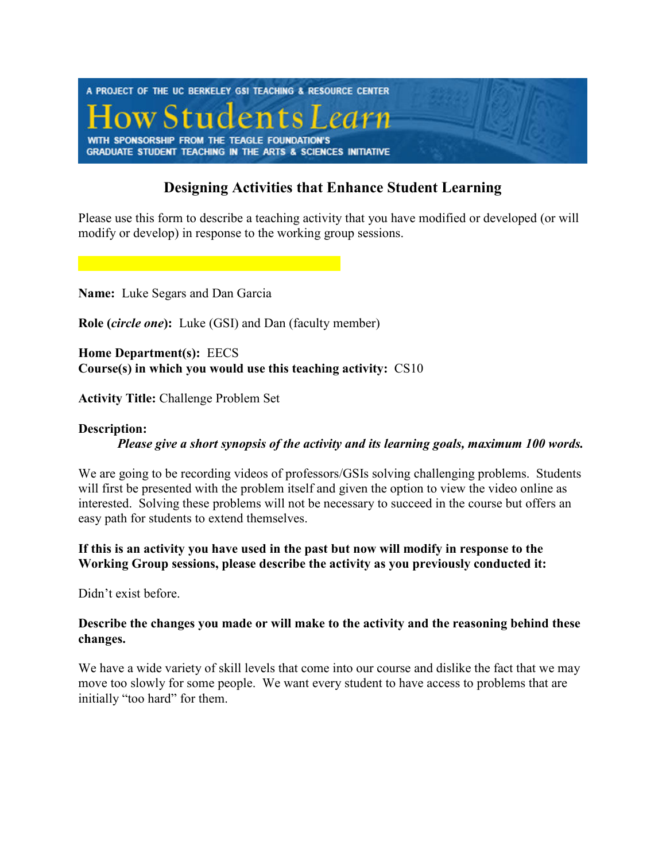

# **Designing Activities that Enhance Student Learning**

Please use this form to describe a teaching activity that you have modified or developed (or will modify or develop) in response to the working group sessions.

**Name:** Luke Segars and Dan Garcia

**Role (***circle one***):** Luke (GSI) and Dan (faculty member)

**Home Department(s):** EECS **Course(s) in which you would use this teaching activity:** CS10

**Activity Title:** Challenge Problem Set

#### **Description:**

*Please give a short synopsis of the activity and its learning goals, maximum 100 words.* 

We are going to be recording videos of professors/GSIs solving challenging problems. Students will first be presented with the problem itself and given the option to view the video online as interested. Solving these problems will not be necessary to succeed in the course but offers an easy path for students to extend themselves.

**If this is an activity you have used in the past but now will modify in response to the Working Group sessions, please describe the activity as you previously conducted it:** 

Didn't exist before.

### **Describe the changes you made or will make to the activity and the reasoning behind these changes.**

We have a wide variety of skill levels that come into our course and dislike the fact that we may move too slowly for some people. We want every student to have access to problems that are initially "too hard" for them.